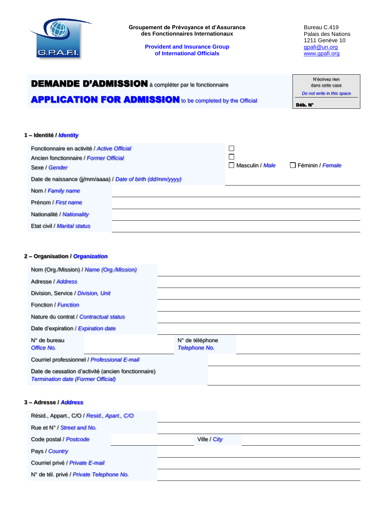

Date de naissance (jj/mm/aaaa) / *Date of birth (dd/mm/yyyy)*

| Nom / Family name           |  |  |
|-----------------------------|--|--|
| Prénom / First name         |  |  |
| Nationalité / Nationality   |  |  |
| Etat civil / Marital status |  |  |

## **2 – Organisation /** *Organization*

| Nom (Org./Mission) / Name (Org./Mission)                                                         |                                         |
|--------------------------------------------------------------------------------------------------|-----------------------------------------|
| Adresse / Address                                                                                |                                         |
| Division, Service / Division, Unit                                                               |                                         |
| Fonction / Function                                                                              |                                         |
| Nature du contrat / Contractual status                                                           |                                         |
| Date d'expiration / Expiration date                                                              |                                         |
| N° de bureau<br>Office No.                                                                       | N° de téléphone<br><b>Telephone No.</b> |
| Courriel professionnel / Professional E-mail                                                     |                                         |
| Date de cessation d'activité (ancien fonctionnaire)<br><b>Termination date (Former Official)</b> |                                         |
| 3 - Adresse / <i>Address</i>                                                                     |                                         |
| Résid., Appart., C/O / Resid., Apart., C/O                                                       |                                         |
| Rue et N° / Street and No.                                                                       |                                         |
| Code postal / Postcode                                                                           | Ville / City                            |

Pays / *Country*

Courriel privé / *Private E-mail*

N° de tél. privé / *Private Telephone No.*